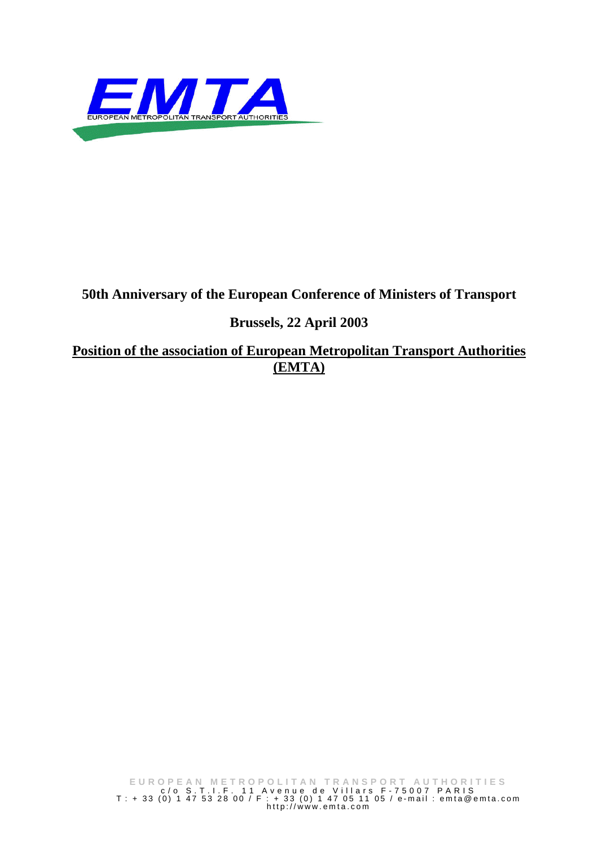

# **50th Anniversary of the European Conference of Ministers of Transport**

# **Brussels, 22 April 2003**

**Position of the association of European Metropolitan Transport Authorities (EMTA)**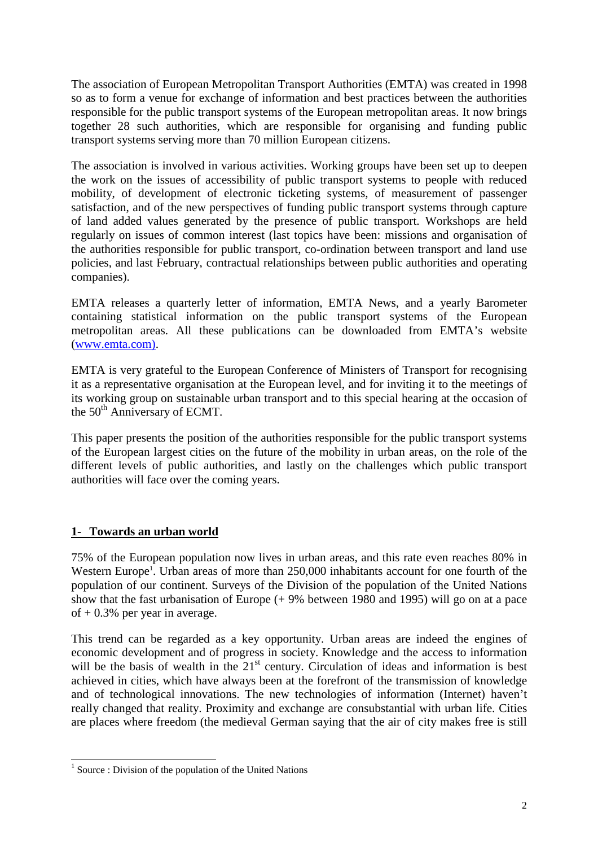The association of European Metropolitan Transport Authorities (EMTA) was created in 1998 so as to form a venue for exchange of information and best practices between the authorities responsible for the public transport systems of the European metropolitan areas. It now brings together 28 such authorities, which are responsible for organising and funding public transport systems serving more than 70 million European citizens.

The association is involved in various activities. Working groups have been set up to deepen the work on the issues of accessibility of public transport systems to people with reduced mobility, of development of electronic ticketing systems, of measurement of passenger satisfaction, and of the new perspectives of funding public transport systems through capture of land added values generated by the presence of public transport. Workshops are held regularly on issues of common interest (last topics have been: missions and organisation of the authorities responsible for public transport, co-ordination between transport and land use policies, and last February, contractual relationships between public authorities and operating companies).

EMTA releases a quarterly letter of information, EMTA News, and a yearly Barometer containing statistical information on the public transport systems of the European metropolitan areas. All these publications can be downloaded from EMTA's website (www.emta.com).

EMTA is very grateful to the European Conference of Ministers of Transport for recognising it as a representative organisation at the European level, and for inviting it to the meetings of its working group on sustainable urban transport and to this special hearing at the occasion of the 50<sup>th</sup> Anniversary of ECMT.

This paper presents the position of the authorities responsible for the public transport systems of the European largest cities on the future of the mobility in urban areas, on the role of the different levels of public authorities, and lastly on the challenges which public transport authorities will face over the coming years.

# **1- Towards an urban world**

75% of the European population now lives in urban areas, and this rate even reaches 80% in Western Europe<sup>1</sup>. Urban areas of more than 250,000 inhabitants account for one fourth of the population of our continent. Surveys of the Division of the population of the United Nations show that the fast urbanisation of Europe (+ 9% between 1980 and 1995) will go on at a pace of  $+0.3\%$  per year in average.

This trend can be regarded as a key opportunity. Urban areas are indeed the engines of economic development and of progress in society. Knowledge and the access to information will be the basis of wealth in the 21<sup>st</sup> century. Circulation of ideas and information is best achieved in cities, which have always been at the forefront of the transmission of knowledge and of technological innovations. The new technologies of information (Internet) haven't really changed that reality. Proximity and exchange are consubstantial with urban life. Cities are places where freedom (the medieval German saying that the air of city makes free is still

<sup>&</sup>lt;sup>1</sup> Source : Division of the population of the United Nations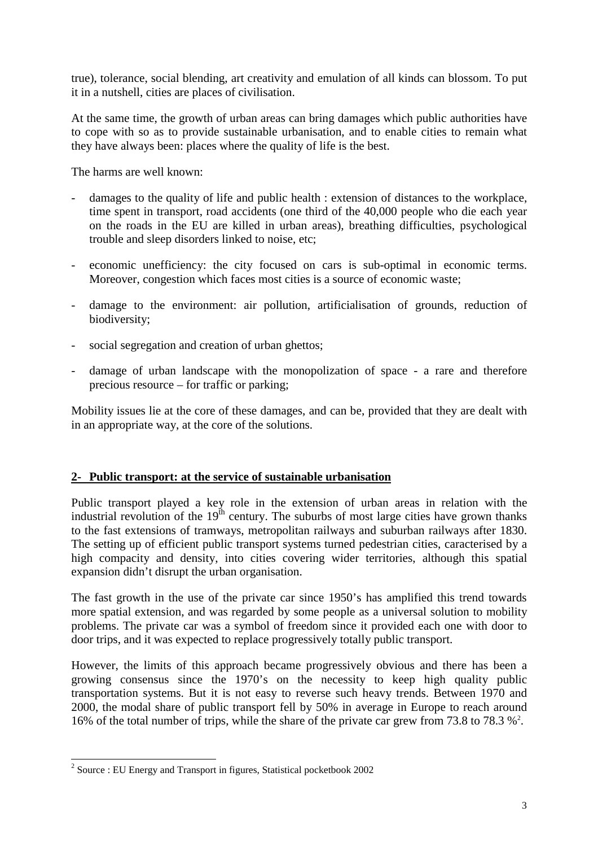true), tolerance, social blending, art creativity and emulation of all kinds can blossom. To put it in a nutshell, cities are places of civilisation.

At the same time, the growth of urban areas can bring damages which public authorities have to cope with so as to provide sustainable urbanisation, and to enable cities to remain what they have always been: places where the quality of life is the best.

The harms are well known:

- damages to the quality of life and public health : extension of distances to the workplace, time spent in transport, road accidents (one third of the 40,000 people who die each year on the roads in the EU are killed in urban areas), breathing difficulties, psychological trouble and sleep disorders linked to noise, etc;
- economic unefficiency: the city focused on cars is sub-optimal in economic terms. Moreover, congestion which faces most cities is a source of economic waste;
- damage to the environment: air pollution, artificialisation of grounds, reduction of biodiversity;
- social segregation and creation of urban ghettos;
- damage of urban landscape with the monopolization of space a rare and therefore precious resource – for traffic or parking;

Mobility issues lie at the core of these damages, and can be, provided that they are dealt with in an appropriate way, at the core of the solutions.

# **2- Public transport: at the service of sustainable urbanisation**

Public transport played a key role in the extension of urban areas in relation with the industrial revolution of the  $19<sup>th</sup>$  century. The suburbs of most large cities have grown thanks to the fast extensions of tramways, metropolitan railways and suburban railways after 1830. The setting up of efficient public transport systems turned pedestrian cities, caracterised by a high compacity and density, into cities covering wider territories, although this spatial expansion didn't disrupt the urban organisation.

The fast growth in the use of the private car since 1950's has amplified this trend towards more spatial extension, and was regarded by some people as a universal solution to mobility problems. The private car was a symbol of freedom since it provided each one with door to door trips, and it was expected to replace progressively totally public transport.

However, the limits of this approach became progressively obvious and there has been a growing consensus since the 1970's on the necessity to keep high quality public transportation systems. But it is not easy to reverse such heavy trends. Between 1970 and 2000, the modal share of public transport fell by 50% in average in Europe to reach around 16% of the total number of trips, while the share of the private car grew from 73.8 to 78.3 %<sup>2</sup>.

<sup>&</sup>lt;sup>2</sup> Source : EU Energy and Transport in figures, Statistical pocketbook 2002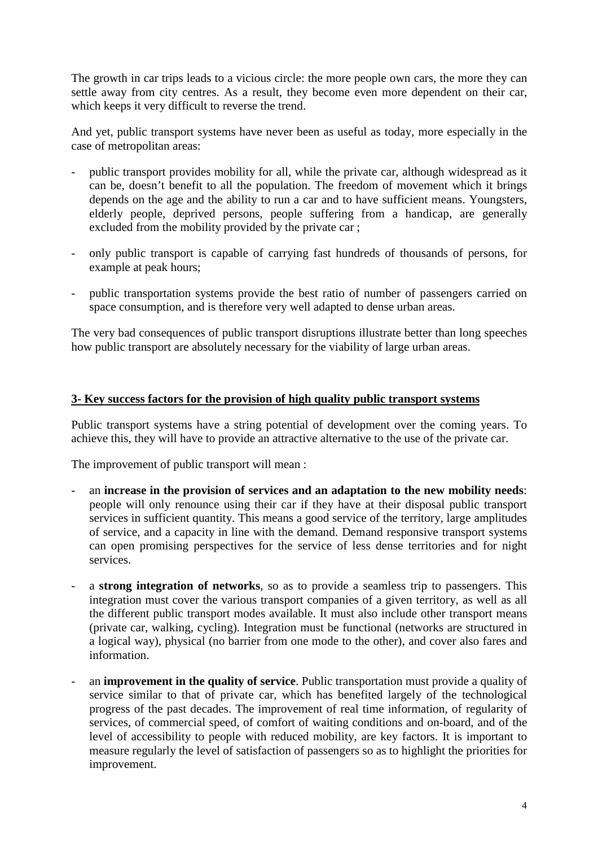The growth in car trips leads to a vicious circle: the more people own cars, the more they can settle away from city centres. As a result, they become even more dependent on their car, which keeps it very difficult to reverse the trend.

And yet, public transport systems have never been as useful as today, more especially in the case of metropolitan areas:

- public transport provides mobility for all, while the private car, although widespread as it can be, doesn't benefit to all the population. The freedom of movement which it brings depends on the age and the ability to run a car and to have sufficient means. Youngsters, elderly people, deprived persons, people suffering from a handicap, are generally excluded from the mobility provided by the private car ;
- only public transport is capable of carrying fast hundreds of thousands of persons, for example at peak hours;
- public transportation systems provide the best ratio of number of passengers carried on space consumption, and is therefore very well adapted to dense urban areas.

The very bad consequences of public transport disruptions illustrate better than long speeches how public transport are absolutely necessary for the viability of large urban areas.

### **3- Key success factors for the provision of high quality public transport systems**

Public transport systems have a string potential of development over the coming years. To achieve this, they will have to provide an attractive alternative to the use of the private car.

The improvement of public transport will mean :

- an **increase in the provision of services and an adaptation to the new mobility needs**: people will only renounce using their car if they have at their disposal public transport services in sufficient quantity. This means a good service of the territory, large amplitudes of service, and a capacity in line with the demand. Demand responsive transport systems can open promising perspectives for the service of less dense territories and for night services.
- a **strong integration of networks**, so as to provide a seamless trip to passengers. This integration must cover the various transport companies of a given territory, as well as all the different public transport modes available. It must also include other transport means (private car, walking, cycling). Integration must be functional (networks are structured in a logical way), physical (no barrier from one mode to the other), and cover also fares and information.
- an **improvement in the quality of service**. Public transportation must provide a quality of service similar to that of private car, which has benefited largely of the technological progress of the past decades. The improvement of real time information, of regularity of services, of commercial speed, of comfort of waiting conditions and on-board, and of the level of accessibility to people with reduced mobility, are key factors. It is important to measure regularly the level of satisfaction of passengers so as to highlight the priorities for improvement.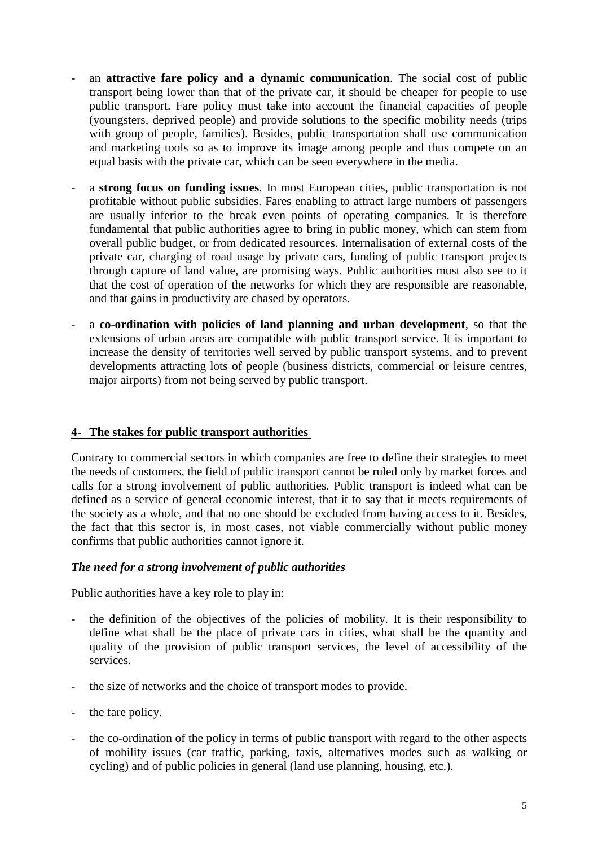- an **attractive fare policy and a dynamic communication**. The social cost of public transport being lower than that of the private car, it should be cheaper for people to use public transport. Fare policy must take into account the financial capacities of people (youngsters, deprived people) and provide solutions to the specific mobility needs (trips with group of people, families). Besides, public transportation shall use communication and marketing tools so as to improve its image among people and thus compete on an equal basis with the private car, which can be seen everywhere in the media.
- a **strong focus on funding issues**. In most European cities, public transportation is not profitable without public subsidies. Fares enabling to attract large numbers of passengers are usually inferior to the break even points of operating companies. It is therefore fundamental that public authorities agree to bring in public money, which can stem from overall public budget, or from dedicated resources. Internalisation of external costs of the private car, charging of road usage by private cars, funding of public transport projects through capture of land value, are promising ways. Public authorities must also see to it that the cost of operation of the networks for which they are responsible are reasonable, and that gains in productivity are chased by operators.
- a **co-ordination with policies of land planning and urban development**, so that the extensions of urban areas are compatible with public transport service. It is important to increase the density of territories well served by public transport systems, and to prevent developments attracting lots of people (business districts, commercial or leisure centres, major airports) from not being served by public transport.

# **4- The stakes for public transport authorities**

Contrary to commercial sectors in which companies are free to define their strategies to meet the needs of customers, the field of public transport cannot be ruled only by market forces and calls for a strong involvement of public authorities. Public transport is indeed what can be defined as a service of general economic interest, that it to say that it meets requirements of the society as a whole, and that no one should be excluded from having access to it. Besides, the fact that this sector is, in most cases, not viable commercially without public money confirms that public authorities cannot ignore it.

#### *The need for a strong involvement of public authorities*

Public authorities have a key role to play in:

- the definition of the objectives of the policies of mobility. It is their responsibility to define what shall be the place of private cars in cities, what shall be the quantity and quality of the provision of public transport services, the level of accessibility of the services.
- the size of networks and the choice of transport modes to provide.
- the fare policy.
- the co-ordination of the policy in terms of public transport with regard to the other aspects of mobility issues (car traffic, parking, taxis, alternatives modes such as walking or cycling) and of public policies in general (land use planning, housing, etc.).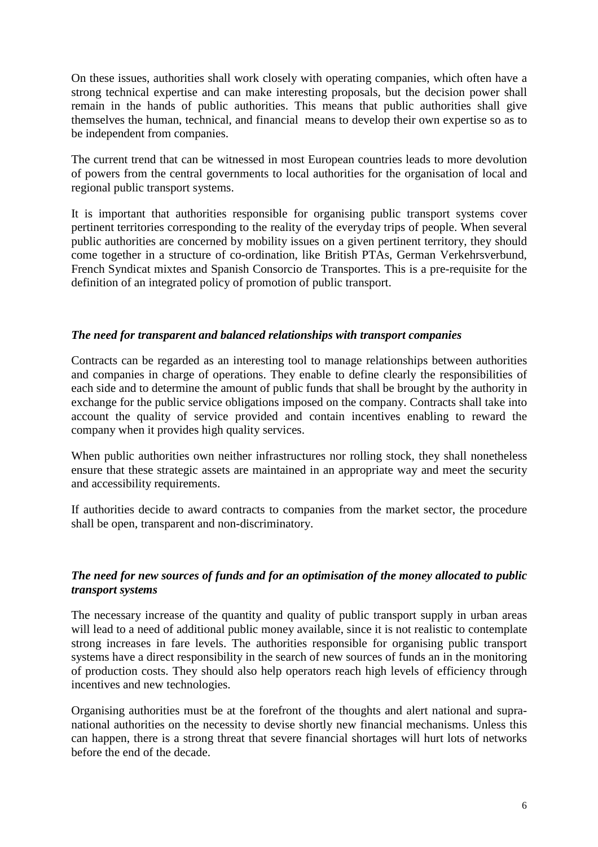On these issues, authorities shall work closely with operating companies, which often have a strong technical expertise and can make interesting proposals, but the decision power shall remain in the hands of public authorities. This means that public authorities shall give themselves the human, technical, and financial means to develop their own expertise so as to be independent from companies.

The current trend that can be witnessed in most European countries leads to more devolution of powers from the central governments to local authorities for the organisation of local and regional public transport systems.

It is important that authorities responsible for organising public transport systems cover pertinent territories corresponding to the reality of the everyday trips of people. When several public authorities are concerned by mobility issues on a given pertinent territory, they should come together in a structure of co-ordination, like British PTAs, German Verkehrsverbund, French Syndicat mixtes and Spanish Consorcio de Transportes. This is a pre-requisite for the definition of an integrated policy of promotion of public transport.

### *The need for transparent and balanced relationships with transport companies*

Contracts can be regarded as an interesting tool to manage relationships between authorities and companies in charge of operations. They enable to define clearly the responsibilities of each side and to determine the amount of public funds that shall be brought by the authority in exchange for the public service obligations imposed on the company. Contracts shall take into account the quality of service provided and contain incentives enabling to reward the company when it provides high quality services.

When public authorities own neither infrastructures nor rolling stock, they shall nonetheless ensure that these strategic assets are maintained in an appropriate way and meet the security and accessibility requirements.

If authorities decide to award contracts to companies from the market sector, the procedure shall be open, transparent and non-discriminatory.

### *The need for new sources of funds and for an optimisation of the money allocated to public transport systems*

The necessary increase of the quantity and quality of public transport supply in urban areas will lead to a need of additional public money available, since it is not realistic to contemplate strong increases in fare levels. The authorities responsible for organising public transport systems have a direct responsibility in the search of new sources of funds an in the monitoring of production costs. They should also help operators reach high levels of efficiency through incentives and new technologies.

Organising authorities must be at the forefront of the thoughts and alert national and supranational authorities on the necessity to devise shortly new financial mechanisms. Unless this can happen, there is a strong threat that severe financial shortages will hurt lots of networks before the end of the decade.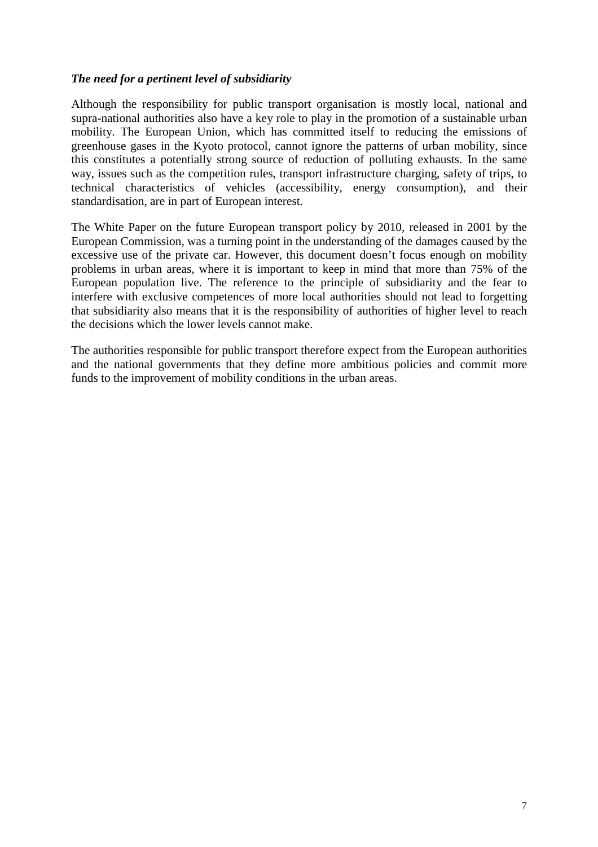# *The need for a pertinent level of subsidiarity*

Although the responsibility for public transport organisation is mostly local, national and supra-national authorities also have a key role to play in the promotion of a sustainable urban mobility. The European Union, which has committed itself to reducing the emissions of greenhouse gases in the Kyoto protocol, cannot ignore the patterns of urban mobility, since this constitutes a potentially strong source of reduction of polluting exhausts. In the same way, issues such as the competition rules, transport infrastructure charging, safety of trips, to technical characteristics of vehicles (accessibility, energy consumption), and their standardisation, are in part of European interest.

The White Paper on the future European transport policy by 2010, released in 2001 by the European Commission, was a turning point in the understanding of the damages caused by the excessive use of the private car. However, this document doesn't focus enough on mobility problems in urban areas, where it is important to keep in mind that more than 75% of the European population live. The reference to the principle of subsidiarity and the fear to interfere with exclusive competences of more local authorities should not lead to forgetting that subsidiarity also means that it is the responsibility of authorities of higher level to reach the decisions which the lower levels cannot make.

The authorities responsible for public transport therefore expect from the European authorities and the national governments that they define more ambitious policies and commit more funds to the improvement of mobility conditions in the urban areas.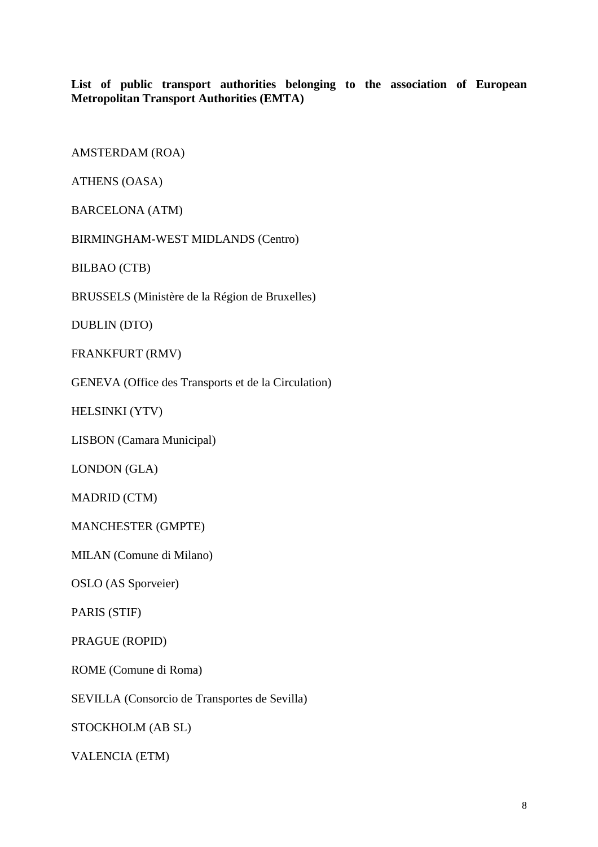**List of public transport authorities belonging to the association of European Metropolitan Transport Authorities (EMTA)**

AMSTERDAM (ROA)

ATHENS (OASA)

BARCELONA (ATM)

BIRMINGHAM-WEST MIDLANDS (Centro)

BILBAO (CTB)

BRUSSELS (Ministère de la Région de Bruxelles)

DUBLIN (DTO)

FRANKFURT (RMV)

GENEVA (Office des Transports et de la Circulation)

HELSINKI (YTV)

LISBON (Camara Municipal)

LONDON (GLA)

MADRID (CTM)

MANCHESTER (GMPTE)

MILAN (Comune di Milano)

OSLO (AS Sporveier)

PARIS (STIF)

PRAGUE (ROPID)

ROME (Comune di Roma)

SEVILLA (Consorcio de Transportes de Sevilla)

STOCKHOLM (AB SL)

VALENCIA (ETM)